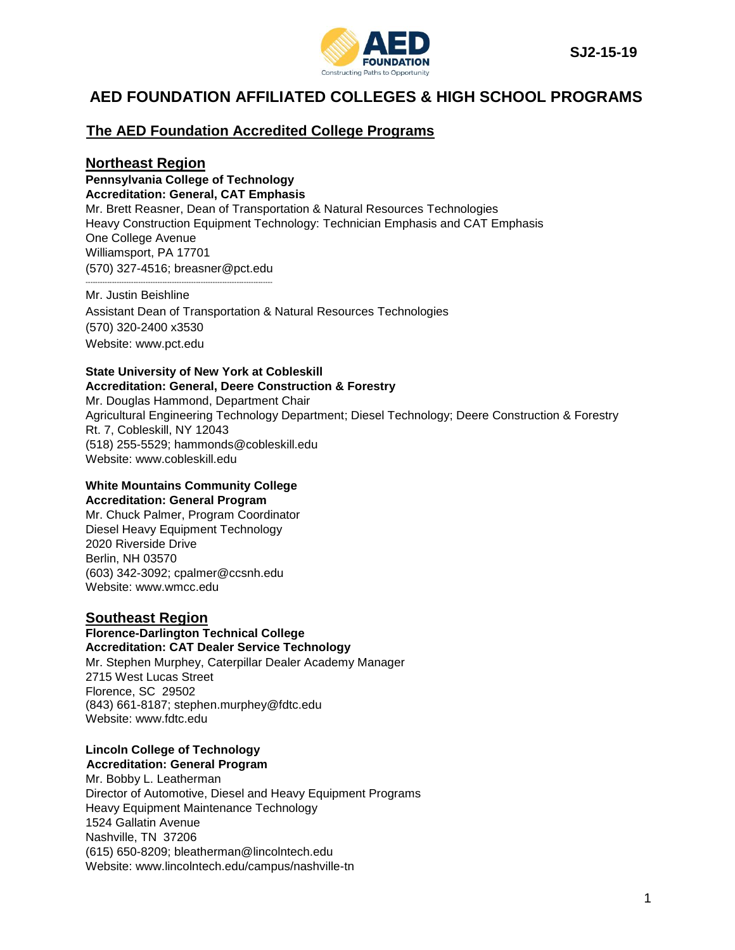

# **The AED Foundation Accredited College Programs**

# **Northeast Region**

**Pennsylvania College of Technology Accreditation: General, CAT Emphasis** Mr. Brett Reasner, Dean of Transportation & Natural Resources Technologies Heavy Construction Equipment Technology: Technician Emphasis and CAT Emphasis One College Avenue Williamsport, PA 17701 (570) 327-4516; [breasner@pct.edu](mailto:breasner@pct.edu) ------------------------------------------------------------------------------

Mr. Justin Beishline Assistant Dean of Transportation & Natural Resources Technologies (570) 320-2400 x3530 Website: www.pct.edu

### **State University of New York at Cobleskill Accreditation: General, Deere Construction & Forestry**

Mr. Douglas Hammond, Department Chair Agricultural Engineering Technology Department; Diesel Technology; Deere Construction & Forestry Rt. 7, Cobleskill, NY 12043 (518) 255-5529; [hammonds@cobleskill.edu](mailto:hammonds@cobleskill.edu) Website: www.cobleskill.edu

#### **White Mountains Community College Accreditation: General Program**

Mr. Chuck Palmer, Program Coordinator Diesel Heavy Equipment Technology 2020 Riverside Drive Berlin, NH 03570 (603) 342-3092; cpalmer@ccsnh.edu Website: www.wmcc.edu

## **Southeast Region**

**Florence-Darlington Technical College Accreditation: CAT Dealer Service Technology** Mr. Stephen Murphey, Caterpillar Dealer Academy Manager 2715 West Lucas Street Florence, SC 29502 (843) 661-8187; stephen.murphey@fdtc.edu

Website: [www.fdtc.edu](http://www.fdtc.edu/)

### **Lincoln College of Technology Accreditation: General Program**

Mr. Bobby L. Leatherman Director of Automotive, Diesel and Heavy Equipment Programs Heavy Equipment Maintenance Technology 1524 Gallatin Avenue Nashville, TN 37206 (615) 650-8209; [bleatherman@lincolntech.edu](mailto:bleatherman@lincolntech.edu) Website: www.lincolntech.edu/campus/nashville-tn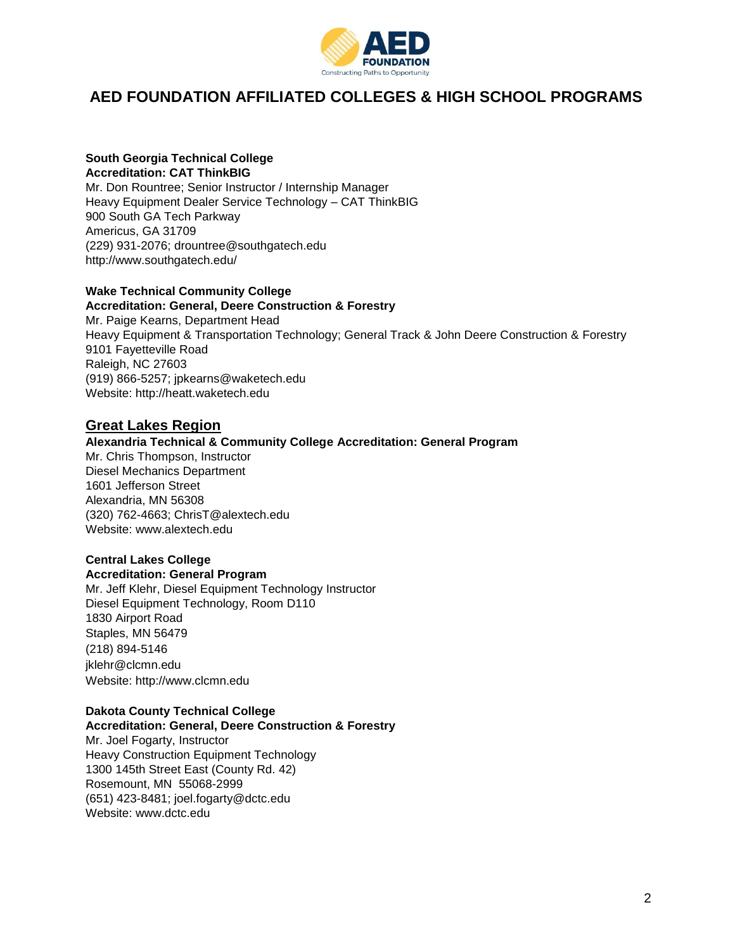

#### **South Georgia Technical College Accreditation: CAT ThinkBIG**

Mr. Don Rountree; Senior Instructor / Internship Manager Heavy Equipment Dealer Service Technology – CAT ThinkBIG 900 South GA Tech Parkway Americus, GA 31709 (229) 931-2076; drountree@southgatech.edu http://www.southgatech.edu/

# **Wake Technical Community College**

**Accreditation: General, Deere Construction & Forestry** Mr. Paige Kearns, Department Head Heavy Equipment & Transportation Technology; General Track & John Deere Construction & Forestry 9101 Fayetteville Road Raleigh, NC 27603 (919) 866-5257; jpkearns@waketech.edu Website: http://heatt.waketech.edu

# **Great Lakes Region**

## **Alexandria Technical & Community College Accreditation: General Program**

Mr. Chris Thompson, Instructor Diesel Mechanics Department 1601 Jefferson Street Alexandria, MN 56308 (320) 762-4663; ChrisT@alextech.edu Website: www.alextech.edu

#### **Central Lakes College Accreditation: General Program**

Mr. Jeff Klehr, Diesel Equipment Technology Instructor Diesel Equipment Technology, Room D110 1830 Airport Road Staples, MN 56479 (218) 894-5146 [jklehr@clcmn.edu](mailto:jklehr@clcmn.edu) Website: http://www.clcmn.edu

# **Dakota County Technical College**

## **Accreditation: General, Deere Construction & Forestry**

Mr. Joel Fogarty, Instructor Heavy Construction Equipment Technology 1300 145th Street East (County Rd. 42) Rosemount, MN 55068-2999 (651) 423-8481; joel.fogarty@dctc.edu Website: www.dctc.edu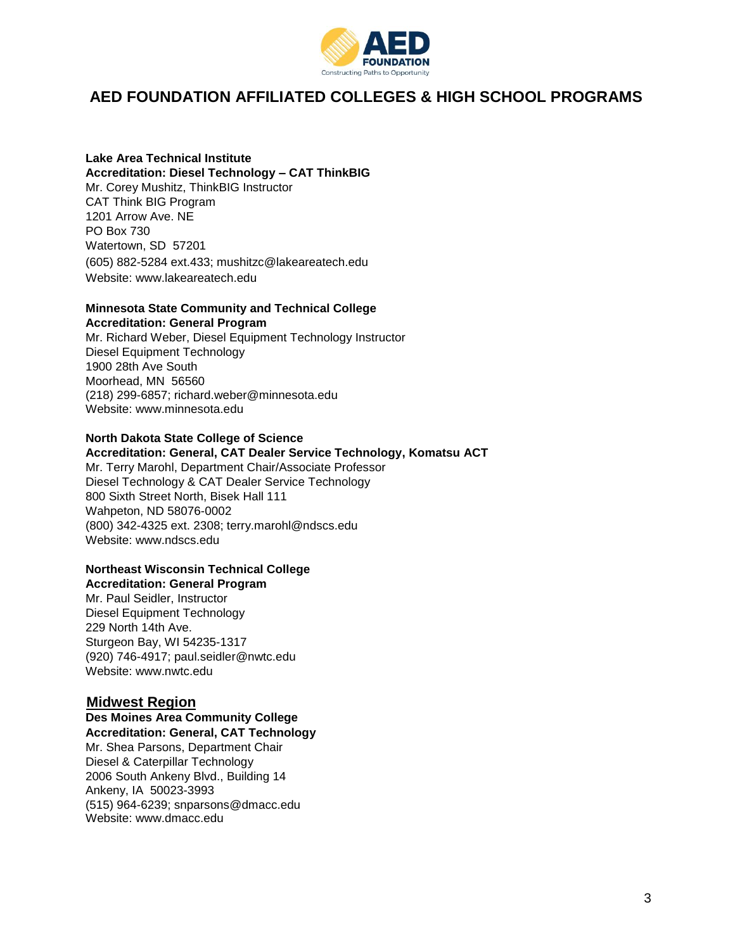

**Lake Area Technical Institute Accreditation: Diesel Technology – CAT ThinkBIG** Mr. Corey Mushitz, ThinkBIG Instructor CAT Think BIG Program 1201 Arrow Ave. NE PO Box 730 Watertown, SD 57201 (605) 882-5284 ext.433; mushitzc@lakeareatech.edu Website: www.lakeareatech.edu

#### **Minnesota State Community and Technical College Accreditation: General Program**

Mr. Richard Weber, Diesel Equipment Technology Instructor Diesel Equipment Technology 1900 28th Ave South Moorhead, MN 56560 (218) 299-6857; richard.weber@minnesota.edu Website: www.minnesota.edu

### **North Dakota State College of Science**

### **Accreditation: General, CAT Dealer Service Technology, Komatsu ACT**

Mr. Terry Marohl, Department Chair/Associate Professor Diesel Technology & CAT Dealer Service Technology 800 Sixth Street North, Bisek Hall 111 Wahpeton, ND 58076-0002 (800) 342-4325 ext. 2308; [terry.marohl@ndscs.edu](mailto:terry.marohl@ndscs.edu) Website: www.ndscs.edu

### **Northeast Wisconsin Technical College**

## **Accreditation: General Program**

Mr. Paul Seidler, Instructor Diesel Equipment Technology 229 North 14th Ave. Sturgeon Bay, WI 54235-1317 (920) 746-4917; paul.seidler@nwtc.edu Website: www.nwtc.edu

### **Midwest Region**

# **Des Moines Area Community College**

**Accreditation: General, CAT Technology** Mr. Shea Parsons, Department Chair Diesel & Caterpillar Technology

2006 South Ankeny Blvd., Building 14 Ankeny, IA 50023-3993 (515) 964-6239; snparsons@dmacc.edu Website: [www.dmacc.edu](http://www.dmacc.edu/)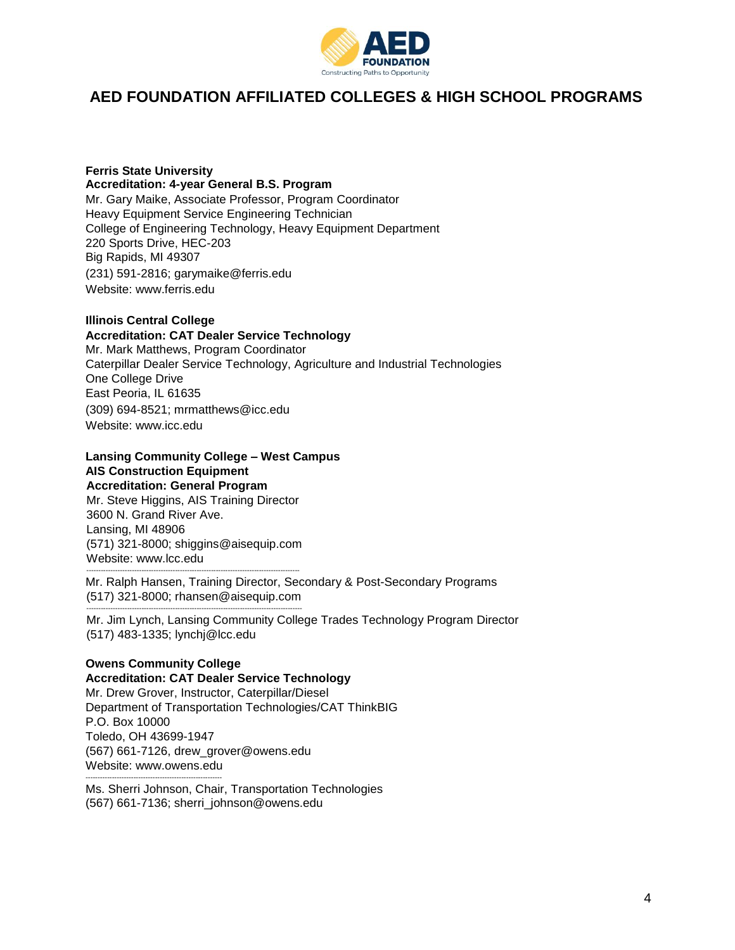

**Ferris State University Accreditation: 4-year General B.S. Program** Mr. Gary Maike, Associate Professor, Program Coordinator Heavy Equipment Service Engineering Technician College of Engineering Technology, Heavy Equipment Department 220 Sports Drive, HEC-203 Big Rapids, MI 49307 (231) 591-2816; [garymaike@ferris.edu](mailto:garymaike@ferris.edu) Website: www.ferris.edu

## **Illinois Central College**

### **Accreditation: CAT Dealer Service Technology**

Mr. Mark Matthews, Program Coordinator Caterpillar Dealer Service Technology, Agriculture and Industrial Technologies One College Drive East Peoria, IL 61635 (309) 694-8521; mrmatthews@icc.edu Website: www.icc.edu

### **Lansing Community College – West Campus AIS Construction Equipment Accreditation: General Program**

Mr. Steve Higgins, AIS Training Director 3600 N. Grand River Ave. Lansing, MI 48906 (571) 321-8000; [shiggins@aisequip.com](mailto:shiggins@aisequip.com) Website: [www.lcc.edu](http://www.lcc.edu/) -----------------------------------------------------------------------------------------

Mr. Ralph Hansen, Training Director, Secondary & Post-Secondary Programs (517) 321-8000; [rhansen@aisequip.com](mailto:rhansen@aisequip.com) ------------------------------------------------------------------------------------------

Mr. Jim Lynch, Lansing Community College Trades Technology Program Director (517) 483-1335; lynchj@lcc.edu

#### **Owens Community College Accreditation: CAT Dealer Service Technology**

Mr. Drew Grover, Instructor, Caterpillar/Diesel Department of Transportation Technologies/CAT ThinkBIG P.O. Box 10000 Toledo, OH 43699-1947 (567) 661-7126, drew\_grover@owens.edu Website: [www.owens.edu](http://www.owens.edu/) ---------------------------------------------------------

Ms. Sherri Johnson, Chair, Transportation Technologies (567) 661-7136; sherri\_johnson@owens.edu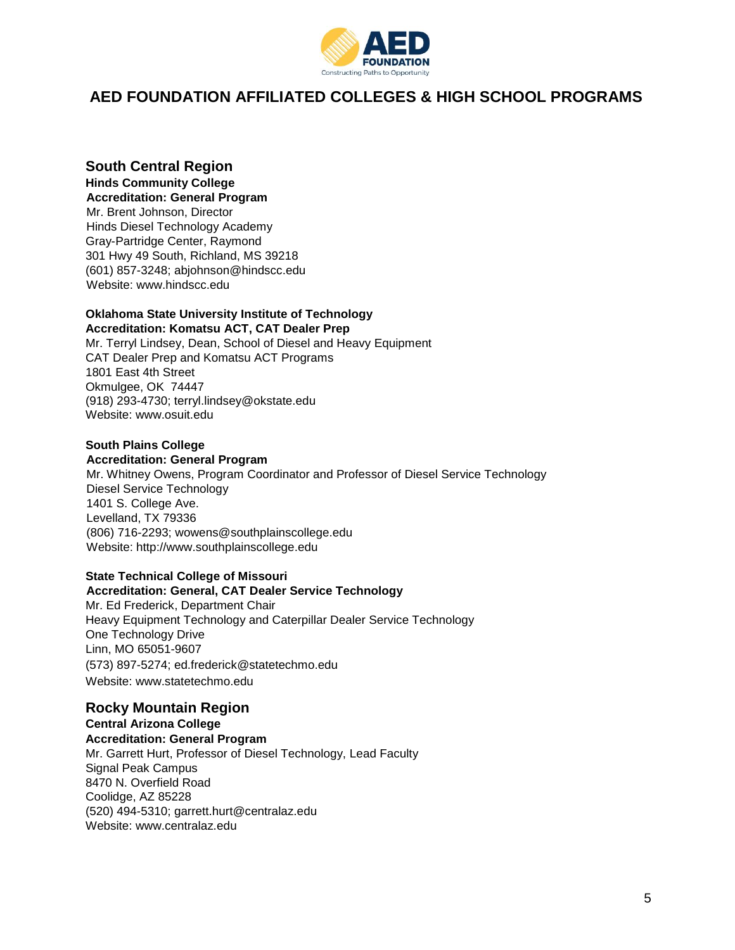

## **South Central Region**

**Hinds Community College Accreditation: General Program** Mr. Brent Johnson, Director Hinds Diesel Technology Academy Gray-Partridge Center, Raymond 301 Hwy 49 South, Richland, MS 39218 (601) 857-3248; [abjohnson@hindscc.edu](mailto:abjohnson@hindscc.edu) Website: www.hindscc.edu

### **Oklahoma State University Institute of Technology Accreditation: Komatsu ACT, CAT Dealer Prep**

Mr. Terryl Lindsey, Dean, School of Diesel and Heavy Equipment CAT Dealer Prep and Komatsu ACT Programs 1801 East 4th Street Okmulgee, OK 74447 (918) 293-4730; terryl.lindsey@okstate.edu Website: www.osuit.edu

## **South Plains College**

### **Accreditation: General Program**

Mr. Whitney Owens, Program Coordinator and Professor of Diesel Service Technology Diesel Service Technology 1401 S. College Ave. Levelland, TX 79336 (806) 716-2293; [wowens@southplainscollege.edu](mailto:wowens@southplainscollege.edu) Website: http://www.southplainscollege.edu

# **State Technical College of Missouri**

**Accreditation: General, CAT Dealer Service Technology** Mr. Ed Frederick, Department Chair Heavy Equipment Technology and Caterpillar Dealer Service Technology One Technology Drive Linn, MO 65051-9607 (573) 897-5274; [ed.frederick@statetechmo.edu](mailto:ed.frederick@statetechmo.edu) Website: www.statetechmo.edu

## **Rocky Mountain Region**

**Central Arizona College Accreditation: General Program** Mr. Garrett Hurt, Professor of Diesel Technology, Lead Faculty Signal Peak Campus 8470 N. Overfield Road Coolidge, AZ 85228 (520) 494-5310; [garrett.hurt@centralaz.edu](mailto:garrett.hurt@centralaz.edu) Website: [www.centralaz.edu](http://www.centralaz.edu/)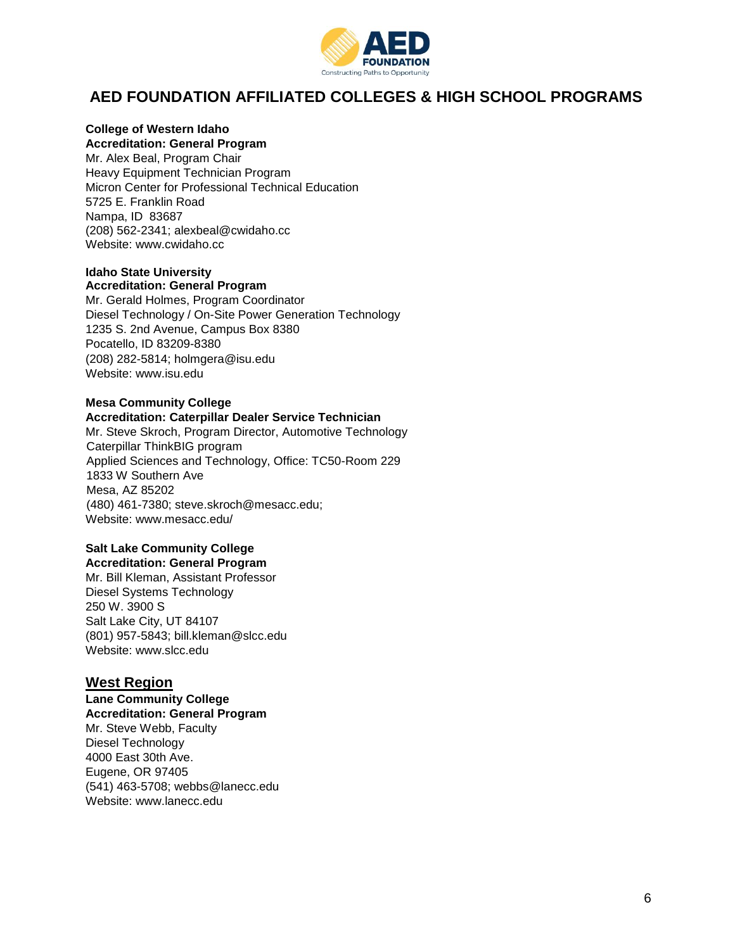

### **College of Western Idaho**

#### **Accreditation: General Program**

Mr. Alex Beal, Program Chair Heavy Equipment Technician Program Micron Center for Professional Technical Education 5725 E. Franklin Road Nampa, ID 83687 (208) 562-2341; [alexbeal@cwidaho.cc](mailto:alexbeal@cwidaho.cc) Website: [www.cwidaho.cc](http://www.cwidaho.cc/)

### **Idaho State University Accreditation: General Program**

Mr. Gerald Holmes, Program Coordinator Diesel Technology / On-Site Power Generation Technology 1235 S. 2nd Avenue, Campus Box 8380 Pocatello, ID 83209-8380 (208) 282-5814; holmgera@isu.edu Website: [www.isu.edu](http://www.isu.edu/)

#### **Mesa Community College Accreditation: Caterpillar Dealer Service Technician**

Mr. Steve Skroch, Program Director, Automotive Technology Caterpillar ThinkBIG program Applied Sciences and Technology, Office: TC50-Room 229 1833 W Southern Ave Mesa, AZ 85202 (480) 461-7380; [steve.skroch@mesacc.edu;](mailto:steve.skroch@mesacc.edu) Website: www.mesacc.edu/

#### **Salt Lake Community College Accreditation: General Program**

Mr. Bill Kleman, Assistant Professor Diesel Systems Technology 250 W. 3900 S Salt Lake City, UT 84107 (801) 957-5843; bill.kleman@slcc.edu Website: www.slcc.edu

## **West Region**

**Lane Community College Accreditation: General Program** Mr. Steve Webb, Faculty Diesel Technology 4000 East 30th Ave. Eugene, OR 97405 (541) 463-5708; [webbs@lanecc.edu](mailto:webbs@lanecc.edu) Website: [www.lanecc.edu](http://www.lanecc.edu/)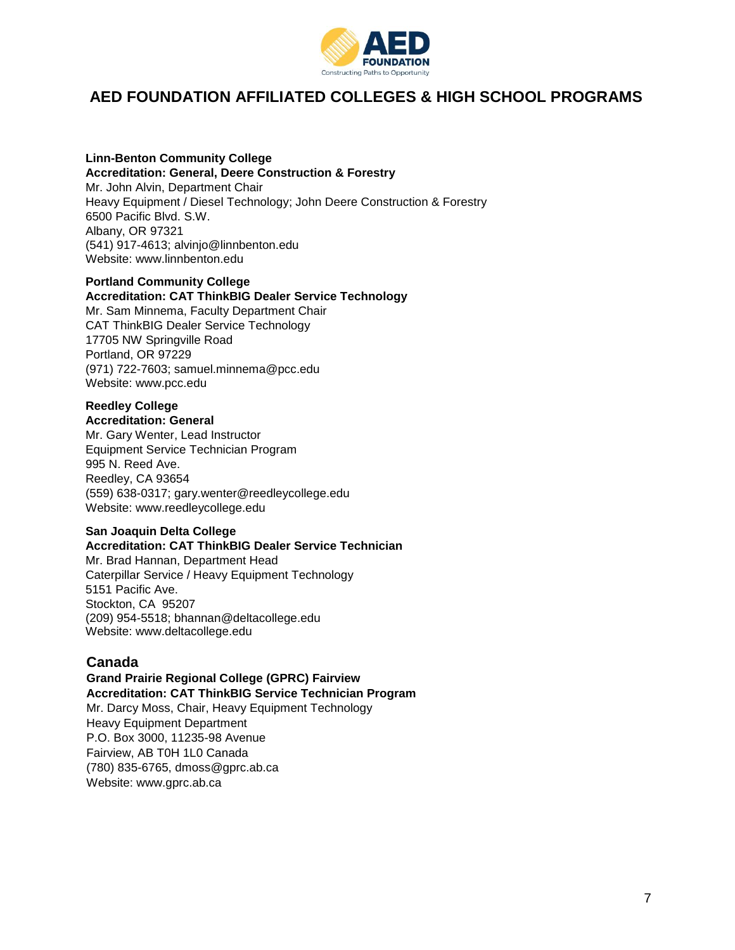

#### **Linn-Benton Community College Accreditation: General, Deere Construction & Forestry**

Mr. John Alvin, Department Chair Heavy Equipment / Diesel Technology; John Deere Construction & Forestry 6500 Pacific Blvd. S.W. Albany, OR 97321 (541) 917-4613; [alvinjo@linnbenton.edu](mailto:alvinjo@linnbenton.edu) Website: www.linnbenton.edu

#### **Portland Community College Accreditation: CAT ThinkBIG Dealer Service Technology**

Mr. Sam Minnema, Faculty Department Chair CAT ThinkBIG Dealer Service Technology 17705 NW Springville Road Portland, OR 97229 (971) 722-7603; samuel.minnema@pcc.edu Website: www.pcc.edu

#### **Reedley College Accreditation: General**

Mr. Gary Wenter, Lead Instructor Equipment Service Technician Program 995 N. Reed Ave. Reedley, CA 93654 (559) 638-0317; [gary.wenter@reedleycollege.edu](mailto:gary.wenter@reedleycollege.edu) Website: www.reedleycollege.edu

# **San Joaquin Delta College**

**Accreditation: CAT ThinkBIG Dealer Service Technician**

Mr. Brad Hannan, Department Head Caterpillar Service / Heavy Equipment Technology 5151 Pacific Ave. Stockton, CA 95207 (209) 954-5518; bhannan@deltacollege.edu Website: [www.deltacollege.edu](http://www.deltacollege.edu/)

# **Canada**

# **Grand Prairie Regional College (GPRC) Fairview Accreditation: CAT ThinkBIG Service Technician Program**

Mr. Darcy Moss, Chair, Heavy Equipment Technology Heavy Equipment Department P.O. Box 3000, 11235-98 Avenue Fairview, AB T0H 1L0 Canada (780) 835-6765, dmos[s@gprc.ab.ca](mailto:ahagen@gprc.ab.ca) Website: www.gprc.ab.ca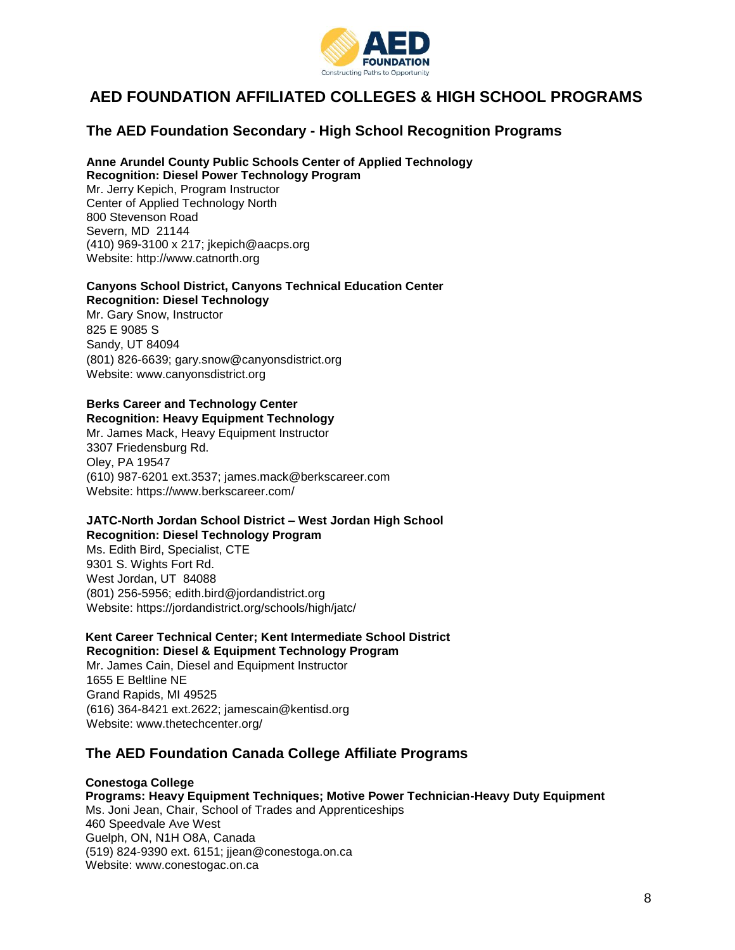

# **The AED Foundation Secondary - High School Recognition Programs**

**Anne Arundel County Public Schools Center of Applied Technology**

**Recognition: Diesel Power Technology Program** Mr. Jerry Kepich, Program Instructor Center of Applied Technology North 800 Stevenson Road Severn, MD 21144 (410) 969-3100 x 217; [jkepich@aacps.org](mailto:jkepich@aacps.org) Website: http://www.catnorth.org

### **Canyons School District, Canyons Technical Education Center Recognition: Diesel Technology**

Mr. Gary Snow, Instructor 825 E 9085 S Sandy, UT 84094 (801) 826-6639; [gary.snow@canyonsdistrict.org](mailto:gary.snow@canyonsdistrict.org) Website: [www.canyonsdistrict.org](http://www.canyonsdistrict.org/)

## **Berks Career and Technology Center Recognition: Heavy Equipment Technology**

Mr. James Mack, Heavy Equipment Instructor 3307 Friedensburg Rd. Oley, PA 19547 (610) 987-6201 ext.3537; [james.mack@berkscareer.com](mailto:james.mack@berkscareer.com) Website:<https://www.berkscareer.com/>

## **JATC-North Jordan School District – West Jordan High School Recognition: Diesel Technology Program**

Ms. Edith Bird, Specialist, CTE 9301 S. Wights Fort Rd. West Jordan, UT 84088 (801) 256-5956; [edith.bird@jordandistrict.org](mailto:edith.bird@jordandistrict.org) Website: https://jordandistrict.org/schools/high/jatc/

## **Kent Career Technical Center; Kent Intermediate School District Recognition: Diesel & Equipment Technology Program**

Mr. James Cain, Diesel and Equipment Instructor 1655 E Beltline NE Grand Rapids, MI 49525 (616) 364-8421 ext.2622; [jamescain@kentisd.org](mailto:jamescain@kentisd.org) Website: www.thetechcenter.org/

# **The AED Foundation Canada College Affiliate Programs**

#### **Conestoga College Programs: Heavy Equipment Techniques; Motive Power Technician-Heavy Duty Equipment** Ms. Joni Jean, Chair, School of Trades and Apprenticeships 460 Speedvale Ave West Guelph, ON, N1H O8A, Canada (519) 824-9390 ext. 6151; jjean@conestoga.on.ca Website: [www.conestogac.on.ca](http://www.conestogac.on.ca/)